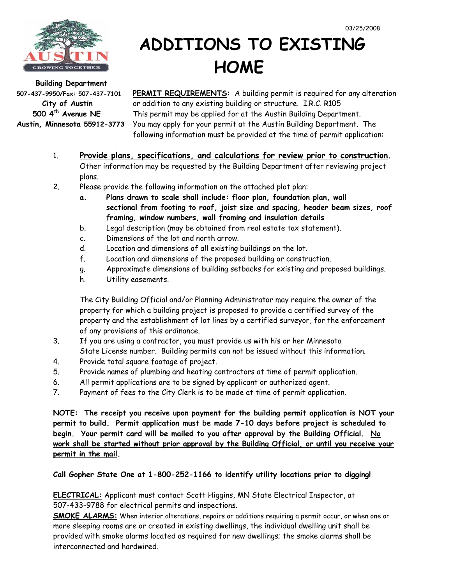

## **ADDITIONS TO EXISTING**  Building Department **Building Department**

**507-437-9950/Fax: 507-437-7101 PERMIT REQUIREMENTS:** A building permit is required for any alteration  **City of Austin** or addition to any existing building or structure. I.R.C. R105  **500 4th Avenue NE** This permit may be applied for at the Austin Building Department. **Austin, Minnesota 55912-3773** You may apply for your permit at the Austin Building Department. The following information must be provided at the time of permit application:

- 1. **Provide plans, specifications, and calculations for review prior to construction.**  Other information may be requested by the Building Department after reviewing project plans.
- 2. Please provide the following information on the attached plot plan:
	- **a. Plans drawn to scale shall include: floor plan, foundation plan, wall sectional from footing to roof, joist size and spacing, header beam sizes, roof framing, window numbers, wall framing and insulation details**
	- b. Legal description (may be obtained from real estate tax statement).
	- c. Dimensions of the lot and north arrow.
	- d. Location and dimensions of all existing buildings on the lot.
	- f. Location and dimensions of the proposed building or construction.
	- g. Approximate dimensions of building setbacks for existing and proposed buildings.
	- h. Utility easements.

 The City Building Official and/or Planning Administrator may require the owner of the property for which a building project is proposed to provide a certified survey of the property and the establishment of lot lines by a certified surveyor, for the enforcement of any provisions of this ordinance.

- 3. If you are using a contractor, you must provide us with his or her Minnesota State License number. Building permits can not be issued without this information.
- 4. Provide total square footage of project.
- 5. Provide names of plumbing and heating contractors at time of permit application.
- 6. All permit applications are to be signed by applicant or authorized agent.
- 7. Payment of fees to the City Clerk is to be made at time of permit application.

**NOTE: The receipt you receive upon payment for the building permit application is NOT your permit to build. Permit application must be made 7-10 days before project is scheduled to begin. Your permit card will be mailed to you after approval by the Building Official. No work shall be started without prior approval by the Building Official, or until you receive your permit in the mail.**

**Call Gopher State One at 1-800-252-1166 to identify utility locations prior to digging!** 

**ELECTRICAL:** Applicant must contact Scott Higgins, MN State Electrical Inspector, at 507-433-9788 for electrical permits and inspections.

**SMOKE ALARMS:** When interior alterations, repairs or additions requiring a permit occur, or when one or more sleeping rooms are or created in existing dwellings, the individual dwelling unit shall be provided with smoke alarms located as required for new dwellings; the smoke alarms shall be interconnected and hardwired.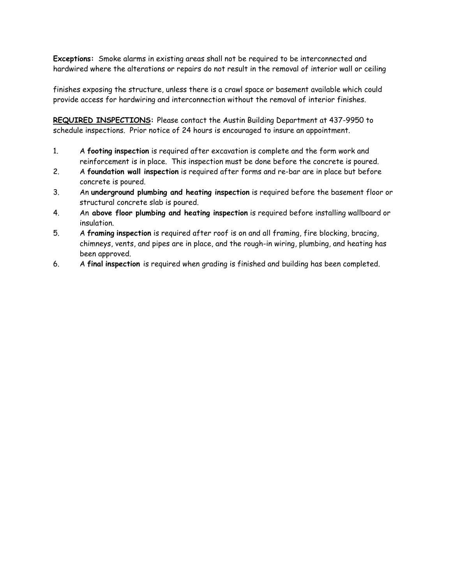**Exceptions:** Smoke alarms in existing areas shall not be required to be interconnected and hardwired where the alterations or repairs do not result in the removal of interior wall or ceiling

finishes exposing the structure, unless there is a crawl space or basement available which could provide access for hardwiring and interconnection without the removal of interior finishes.

**REQUIRED INSPECTIONS:** Please contact the Austin Building Department at 437-9950 to schedule inspections. Prior notice of 24 hours is encouraged to insure an appointment.

- 1. A **footing inspection** is required after excavation is complete and the form work and reinforcement is in place. This inspection must be done before the concrete is poured.
- 2. A **foundation wall inspection** is required after forms and re-bar are in place but before concrete is poured.
- 3. An **underground plumbing and heating inspection** is required before the basement floor or structural concrete slab is poured.
- 4. An **above floor plumbing and heating inspection** is required before installing wallboard or insulation.
- 5. A **framing inspection** is required after roof is on and all framing, fire blocking, bracing, chimneys, vents, and pipes are in place, and the rough-in wiring, plumbing, and heating has been approved.
- 6. A **final inspection** is required when grading is finished and building has been completed.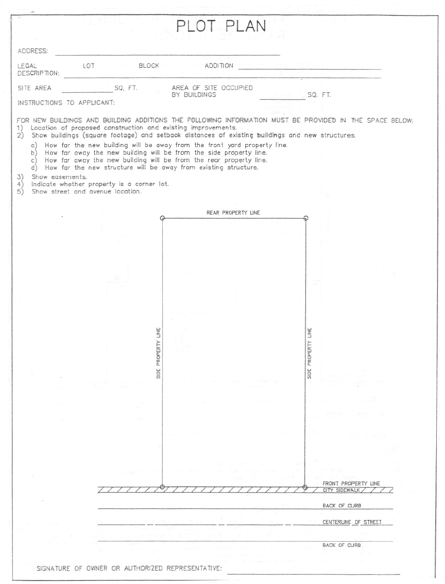|                                                                                                                                                                                                                            | PLOT PLAN                                                                                               |                      |
|----------------------------------------------------------------------------------------------------------------------------------------------------------------------------------------------------------------------------|---------------------------------------------------------------------------------------------------------|----------------------|
|                                                                                                                                                                                                                            |                                                                                                         |                      |
| ADDRESS:                                                                                                                                                                                                                   |                                                                                                         |                      |
| LOT<br>LEGAL<br><b>BLOCK</b><br>DESCRIPTION:                                                                                                                                                                               | <b>ADDITION</b>                                                                                         |                      |
| SQ, FT.<br>SITE AREA                                                                                                                                                                                                       | AREA OF SITE OCCUPIED<br>BY BUILDINGS                                                                   | SQ. FT.              |
| INSTRUCTIONS TO APPLICANT:                                                                                                                                                                                                 |                                                                                                         |                      |
|                                                                                                                                                                                                                            | FOR NEW BUILDINGS AND BUILDING ADDITIONS THE FOLLOWING INFORMATION MUST BE PROVIDED IN THE SPACE BELOW: |                      |
| Location of proposed construction and existing improvements.<br>1)<br>2)                                                                                                                                                   | Show buildings (square footage) and setback distances of existing buildings and new structures.         |                      |
| a)<br>b) How far away the new building will be from the side property line.<br>c) How far away the new building will be from the rear property line.<br>d) How far the new structure will be away from existing structure. | How far the new building will be away from the front yard property line.                                |                      |
| Show easements.<br>3)<br>Indicate whether property is a corner lot.<br>4)                                                                                                                                                  |                                                                                                         |                      |
| Show street and avenue location.<br>5)                                                                                                                                                                                     |                                                                                                         |                      |
|                                                                                                                                                                                                                            | REAR PROPERTY LINE                                                                                      |                      |
|                                                                                                                                                                                                                            |                                                                                                         |                      |
|                                                                                                                                                                                                                            |                                                                                                         |                      |
|                                                                                                                                                                                                                            |                                                                                                         |                      |
|                                                                                                                                                                                                                            |                                                                                                         |                      |
|                                                                                                                                                                                                                            |                                                                                                         |                      |
|                                                                                                                                                                                                                            |                                                                                                         |                      |
|                                                                                                                                                                                                                            |                                                                                                         |                      |
|                                                                                                                                                                                                                            |                                                                                                         |                      |
| Ë                                                                                                                                                                                                                          |                                                                                                         | LINE                 |
|                                                                                                                                                                                                                            |                                                                                                         |                      |
| SIDE PROPERT                                                                                                                                                                                                               |                                                                                                         | SIDE PROPERTY        |
|                                                                                                                                                                                                                            |                                                                                                         |                      |
|                                                                                                                                                                                                                            |                                                                                                         |                      |
|                                                                                                                                                                                                                            |                                                                                                         |                      |
|                                                                                                                                                                                                                            |                                                                                                         |                      |
|                                                                                                                                                                                                                            |                                                                                                         |                      |
|                                                                                                                                                                                                                            |                                                                                                         |                      |
|                                                                                                                                                                                                                            |                                                                                                         |                      |
|                                                                                                                                                                                                                            |                                                                                                         |                      |
|                                                                                                                                                                                                                            |                                                                                                         | FRONT PROPERTY LINE  |
|                                                                                                                                                                                                                            |                                                                                                         | CITY SIDEWALK        |
|                                                                                                                                                                                                                            |                                                                                                         | BACK OF CURB         |
|                                                                                                                                                                                                                            |                                                                                                         | CENTERLINE OF STREET |
|                                                                                                                                                                                                                            |                                                                                                         |                      |
|                                                                                                                                                                                                                            |                                                                                                         |                      |